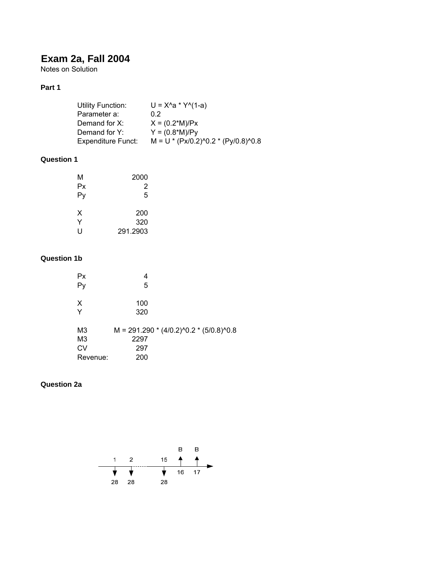# **Exam 2a, Fall 2004**

Notes on Solution

### **Part 1**

| Utility Function:         | $U = X^4a * Y^4(1-a)$                 |
|---------------------------|---------------------------------------|
| Parameter a:              | 0 2                                   |
| Demand for X:             | $X = (0.2*M)/Px$                      |
| Demand for Y:             | $Y = (0.8*M)/Py$                      |
| <b>Expenditure Funct:</b> | $M = U * (Px/0.2)^0.2 * (Py/0.8)^0.8$ |

## **Question 1**

| М  | 2000     |
|----|----------|
| Рx | 2        |
| Py | 5        |
| x  | 200      |
| Y  | 320      |
| U  | 291.2903 |

#### **Question 1b**

| Рx             |                                           |
|----------------|-------------------------------------------|
|                | 5                                         |
|                |                                           |
| X              | 100                                       |
| Y              | 320                                       |
|                |                                           |
| M <sub>3</sub> | $M = 291.290 * (4/0.2)^0.2 * (5/0.8)^0.8$ |
| M <sub>3</sub> | 2297                                      |
| СV             | 297                                       |
| Revenue:       | 200                                       |
|                |                                           |

#### **Question 2a**

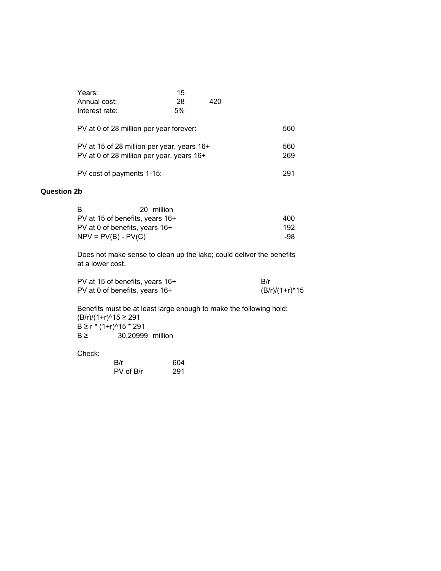| Years:<br>Annual cost:<br>Interest rate:                                                | 15<br>28<br>5% | 420 |            |
|-----------------------------------------------------------------------------------------|----------------|-----|------------|
| PV at 0 of 28 million per year forever:                                                 |                |     | 560        |
| PV at 15 of 28 million per year, years 16+<br>PV at 0 of 28 million per year, years 16+ |                |     | 560<br>269 |
| PV cost of payments 1-15:                                                               |                |     | 291        |

#### **Question 2b**

| B                               | 20 million |      |
|---------------------------------|------------|------|
| PV at 15 of benefits, years 16+ |            | 400  |
| PV at 0 of benefits, years 16+  |            | 192. |
| $NPV = PV(B) - PV(C)$           |            | -98. |

Does not make sense to clean up the lake; could deliver the benefits at a lower cost.

| PV at 15 of benefits, years 16+ | - B/r          |
|---------------------------------|----------------|
| PV at 0 of benefits, years 16+  | (B/r)/(1+r)^15 |

Benefits must be at least large enough to make the following hold: (B/r)/(1+r)^15 ≥ 291 B ≥ r \* (1+r)^15 \* 291 B ≥ 30.20999 million

Check:

| B/r       | 604 |
|-----------|-----|
| PV of B/r | 291 |